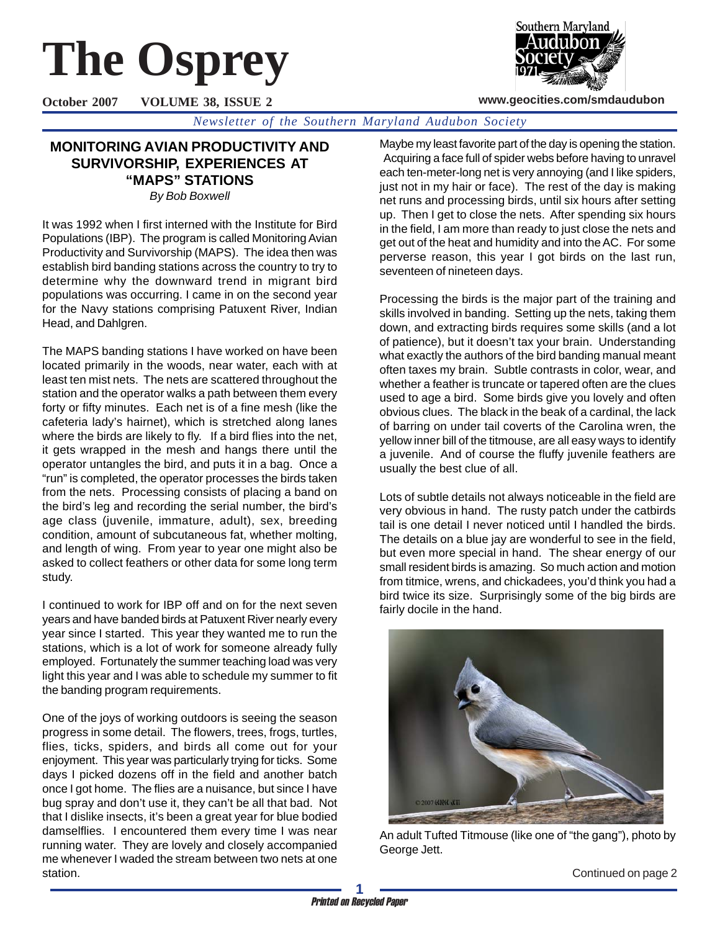# **The Osprey**



**www.geocities.com/smdaudubon**

**October 2007 VOLUME 38, ISSUE 2**

*Newsletter of the Southern Maryland Audubon Society*

## **MONITORING AVIAN PRODUCTIVITY AND SURVIVORSHIP, EXPERIENCES AT "MAPS" STATIONS**

*By Bob Boxwell*

It was 1992 when I first interned with the Institute for Bird Populations (IBP). The program is called Monitoring Avian Productivity and Survivorship (MAPS). The idea then was establish bird banding stations across the country to try to determine why the downward trend in migrant bird populations was occurring. I came in on the second year for the Navy stations comprising Patuxent River, Indian Head, and Dahlgren.

The MAPS banding stations I have worked on have been located primarily in the woods, near water, each with at least ten mist nets. The nets are scattered throughout the station and the operator walks a path between them every forty or fifty minutes. Each net is of a fine mesh (like the cafeteria lady's hairnet), which is stretched along lanes where the birds are likely to fly. If a bird flies into the net, it gets wrapped in the mesh and hangs there until the operator untangles the bird, and puts it in a bag. Once a "run" is completed, the operator processes the birds taken from the nets. Processing consists of placing a band on the bird's leg and recording the serial number, the bird's age class (juvenile, immature, adult), sex, breeding condition, amount of subcutaneous fat, whether molting, and length of wing. From year to year one might also be asked to collect feathers or other data for some long term study.

I continued to work for IBP off and on for the next seven years and have banded birds at Patuxent River nearly every year since I started. This year they wanted me to run the stations, which is a lot of work for someone already fully employed. Fortunately the summer teaching load was very light this year and I was able to schedule my summer to fit the banding program requirements.

One of the joys of working outdoors is seeing the season progress in some detail. The flowers, trees, frogs, turtles, flies, ticks, spiders, and birds all come out for your enjoyment. This year was particularly trying for ticks. Some days I picked dozens off in the field and another batch once I got home. The flies are a nuisance, but since I have bug spray and don't use it, they can't be all that bad. Not that I dislike insects, it's been a great year for blue bodied damselflies. I encountered them every time I was near running water. They are lovely and closely accompanied me whenever I waded the stream between two nets at one station.

Maybe my least favorite part of the day is opening the station. Acquiring a face full of spider webs before having to unravel each ten-meter-long net is very annoying (and I like spiders, just not in my hair or face). The rest of the day is making net runs and processing birds, until six hours after setting up. Then I get to close the nets. After spending six hours in the field, I am more than ready to just close the nets and get out of the heat and humidity and into the AC. For some perverse reason, this year I got birds on the last run, seventeen of nineteen days.

Processing the birds is the major part of the training and skills involved in banding. Setting up the nets, taking them down, and extracting birds requires some skills (and a lot of patience), but it doesn't tax your brain. Understanding what exactly the authors of the bird banding manual meant often taxes my brain. Subtle contrasts in color, wear, and whether a feather is truncate or tapered often are the clues used to age a bird. Some birds give you lovely and often obvious clues. The black in the beak of a cardinal, the lack of barring on under tail coverts of the Carolina wren, the yellow inner bill of the titmouse, are all easy ways to identify a juvenile. And of course the fluffy juvenile feathers are usually the best clue of all.

Lots of subtle details not always noticeable in the field are very obvious in hand. The rusty patch under the catbirds tail is one detail I never noticed until I handled the birds. The details on a blue jay are wonderful to see in the field, but even more special in hand. The shear energy of our small resident birds is amazing. So much action and motion from titmice, wrens, and chickadees, you'd think you had a bird twice its size. Surprisingly some of the big birds are fairly docile in the hand.



An adult Tufted Titmouse (like one of "the gang"), photo by George Jett.

Continued on page 2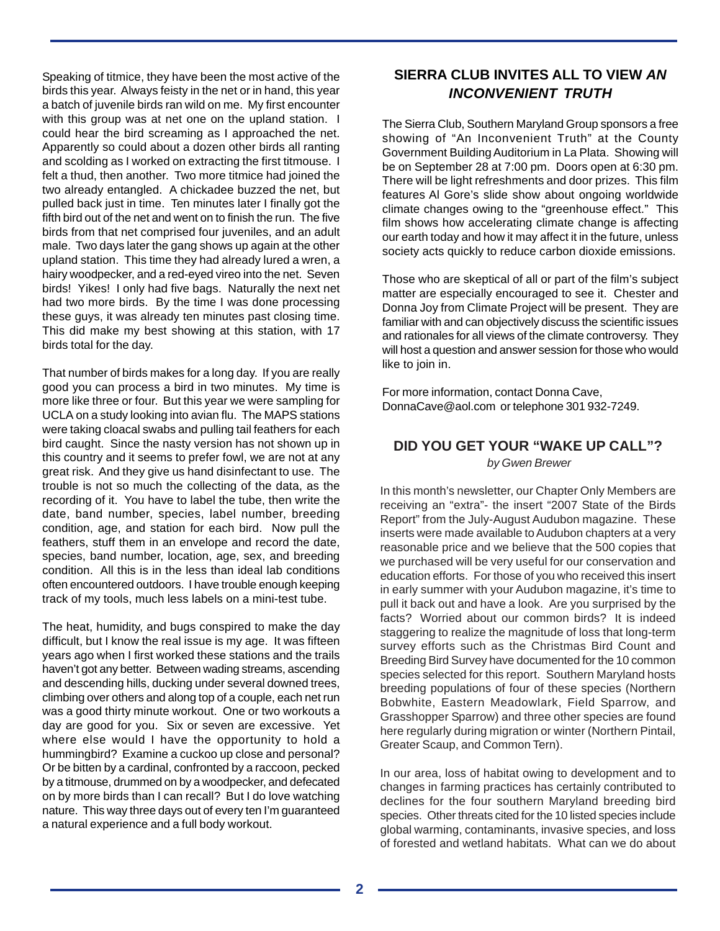Speaking of titmice, they have been the most active of the birds this year. Always feisty in the net or in hand, this year a batch of juvenile birds ran wild on me. My first encounter with this group was at net one on the upland station. I could hear the bird screaming as I approached the net. Apparently so could about a dozen other birds all ranting and scolding as I worked on extracting the first titmouse. I felt a thud, then another. Two more titmice had joined the two already entangled. A chickadee buzzed the net, but pulled back just in time. Ten minutes later I finally got the fifth bird out of the net and went on to finish the run. The five birds from that net comprised four juveniles, and an adult male. Two days later the gang shows up again at the other upland station. This time they had already lured a wren, a hairy woodpecker, and a red-eyed vireo into the net. Seven birds! Yikes! I only had five bags. Naturally the next net had two more birds. By the time I was done processing these guys, it was already ten minutes past closing time. This did make my best showing at this station, with 17 birds total for the day.

That number of birds makes for a long day. If you are really good you can process a bird in two minutes. My time is more like three or four. But this year we were sampling for UCLA on a study looking into avian flu. The MAPS stations were taking cloacal swabs and pulling tail feathers for each bird caught. Since the nasty version has not shown up in this country and it seems to prefer fowl, we are not at any great risk. And they give us hand disinfectant to use. The trouble is not so much the collecting of the data, as the recording of it. You have to label the tube, then write the date, band number, species, label number, breeding condition, age, and station for each bird. Now pull the feathers, stuff them in an envelope and record the date, species, band number, location, age, sex, and breeding condition. All this is in the less than ideal lab conditions often encountered outdoors. I have trouble enough keeping track of my tools, much less labels on a mini-test tube.

The heat, humidity, and bugs conspired to make the day difficult, but I know the real issue is my age. It was fifteen years ago when I first worked these stations and the trails haven't got any better. Between wading streams, ascending and descending hills, ducking under several downed trees, climbing over others and along top of a couple, each net run was a good thirty minute workout. One or two workouts a day are good for you. Six or seven are excessive. Yet where else would I have the opportunity to hold a hummingbird? Examine a cuckoo up close and personal? Or be bitten by a cardinal, confronted by a raccoon, pecked by a titmouse, drummed on by a woodpecker, and defecated on by more birds than I can recall? But I do love watching nature. This way three days out of every ten I'm guaranteed a natural experience and a full body workout.

### **SIERRA CLUB INVITES ALL TO VIEW** *AN INCONVENIENT TRUTH*

The Sierra Club, Southern Maryland Group sponsors a free showing of "An Inconvenient Truth" at the County Government Building Auditorium in La Plata. Showing will be on September 28 at 7:00 pm. Doors open at 6:30 pm. There will be light refreshments and door prizes. This film features Al Gore's slide show about ongoing worldwide climate changes owing to the "greenhouse effect." This film shows how accelerating climate change is affecting our earth today and how it may affect it in the future, unless society acts quickly to reduce carbon dioxide emissions.

Those who are skeptical of all or part of the film's subject matter are especially encouraged to see it. Chester and Donna Joy from Climate Project will be present. They are familiar with and can objectively discuss the scientific issues and rationales for all views of the climate controversy. They will host a question and answer session for those who would like to join in.

For more information, contact Donna Cave, DonnaCave@aol.com or telephone 301 932-7249.

#### **DID YOU GET YOUR "WAKE UP CALL"?**  *by Gwen Brewer*

In this month's newsletter, our Chapter Only Members are receiving an "extra"- the insert "2007 State of the Birds Report" from the July-August Audubon magazine. These inserts were made available to Audubon chapters at a very reasonable price and we believe that the 500 copies that we purchased will be very useful for our conservation and education efforts. For those of you who received this insert in early summer with your Audubon magazine, it's time to pull it back out and have a look. Are you surprised by the facts? Worried about our common birds? It is indeed staggering to realize the magnitude of loss that long-term survey efforts such as the Christmas Bird Count and Breeding Bird Survey have documented for the 10 common species selected for this report. Southern Maryland hosts breeding populations of four of these species (Northern Bobwhite, Eastern Meadowlark, Field Sparrow, and Grasshopper Sparrow) and three other species are found here regularly during migration or winter (Northern Pintail, Greater Scaup, and Common Tern).

In our area, loss of habitat owing to development and to changes in farming practices has certainly contributed to declines for the four southern Maryland breeding bird species. Other threats cited for the 10 listed species include global warming, contaminants, invasive species, and loss of forested and wetland habitats. What can we do about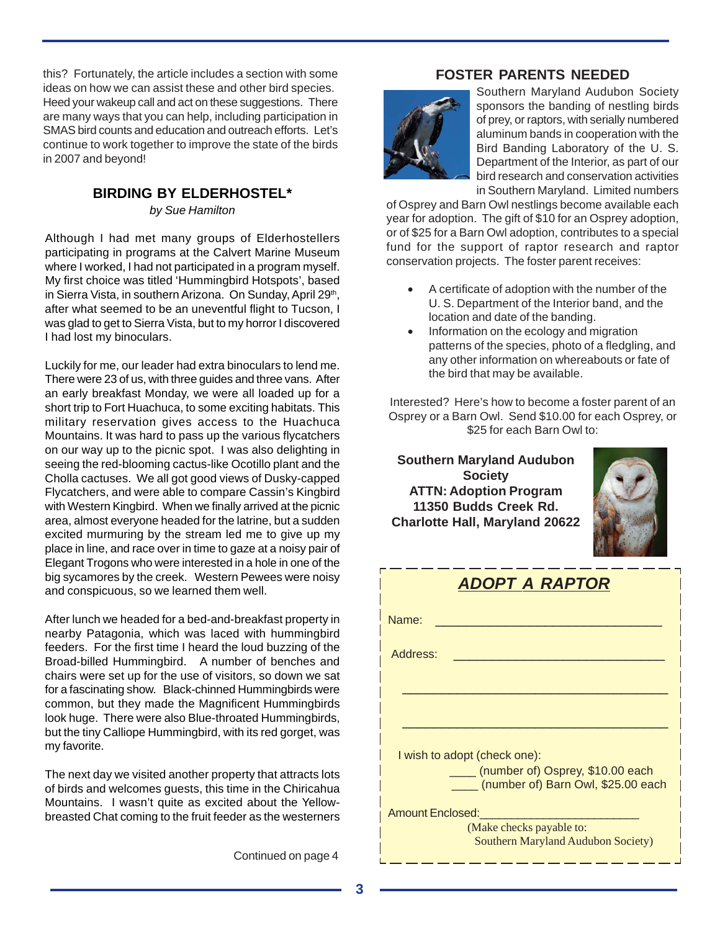this? Fortunately, the article includes a section with some ideas on how we can assist these and other bird species. Heed your wakeup call and act on these suggestions. There are many ways that you can help, including participation in SMAS bird counts and education and outreach efforts. Let's continue to work together to improve the state of the birds in 2007 and beyond!

#### **BIRDING BY ELDERHOSTEL\***

*by Sue Hamilton*

Although I had met many groups of Elderhostellers participating in programs at the Calvert Marine Museum where I worked, I had not participated in a program myself. My first choice was titled 'Hummingbird Hotspots', based in Sierra Vista, in southern Arizona. On Sunday, April 29th, after what seemed to be an uneventful flight to Tucson, I was glad to get to Sierra Vista, but to my horror I discovered I had lost my binoculars.

Luckily for me, our leader had extra binoculars to lend me. There were 23 of us, with three guides and three vans. After an early breakfast Monday, we were all loaded up for a short trip to Fort Huachuca, to some exciting habitats. This military reservation gives access to the Huachuca Mountains. It was hard to pass up the various flycatchers on our way up to the picnic spot. I was also delighting in seeing the red-blooming cactus-like Ocotillo plant and the Cholla cactuses. We all got good views of Dusky-capped Flycatchers, and were able to compare Cassin's Kingbird with Western Kingbird. When we finally arrived at the picnic area, almost everyone headed for the latrine, but a sudden excited murmuring by the stream led me to give up my place in line, and race over in time to gaze at a noisy pair of Elegant Trogons who were interested in a hole in one of the big sycamores by the creek. Western Pewees were noisy and conspicuous, so we learned them well.

After lunch we headed for a bed-and-breakfast property in nearby Patagonia, which was laced with hummingbird feeders. For the first time I heard the loud buzzing of the Broad-billed Hummingbird. A number of benches and chairs were set up for the use of visitors, so down we sat for a fascinating show. Black-chinned Hummingbirds were common, but they made the Magnificent Hummingbirds look huge. There were also Blue-throated Hummingbirds, but the tiny Calliope Hummingbird, with its red gorget, was my favorite.

The next day we visited another property that attracts lots of birds and welcomes guests, this time in the Chiricahua Mountains. I wasn't quite as excited about the Yellowbreasted Chat coming to the fruit feeder as the westerners

Continued on page 4

#### **FOSTER PARENTS NEEDED**



Southern Maryland Audubon Society sponsors the banding of nestling birds of prey, or raptors, with serially numbered aluminum bands in cooperation with the Bird Banding Laboratory of the U. S. Department of the Interior, as part of our bird research and conservation activities in Southern Maryland. Limited numbers

of Osprey and Barn Owl nestlings become available each year for adoption. The gift of \$10 for an Osprey adoption, or of \$25 for a Barn Owl adoption, contributes to a special fund for the support of raptor research and raptor conservation projects. The foster parent receives:

- A certificate of adoption with the number of the U. S. Department of the Interior band, and the location and date of the banding.
- Information on the ecology and migration patterns of the species, photo of a fledgling, and any other information on whereabouts or fate of the bird that may be available.

Interested? Here's how to become a foster parent of an Osprey or a Barn Owl. Send \$10.00 for each Osprey, or \$25 for each Barn Owl to:

**Southern Maryland Audubon Society ATTN: Adoption Program 11350 Budds Creek Rd. Charlotte Hall, Maryland 20622**



| <b>ADOPT A RAPTOR</b>                                                       |  |
|-----------------------------------------------------------------------------|--|
| Name:                                                                       |  |
| Address:                                                                    |  |
|                                                                             |  |
|                                                                             |  |
| I wish to adopt (check one):                                                |  |
| ____ (number of) Osprey, \$10.00 each<br>(number of) Barn Owl, \$25.00 each |  |
| <b>Amount Enclosed:</b>                                                     |  |
| (Make checks payable to:<br><b>Southern Maryland Audubon Society)</b>       |  |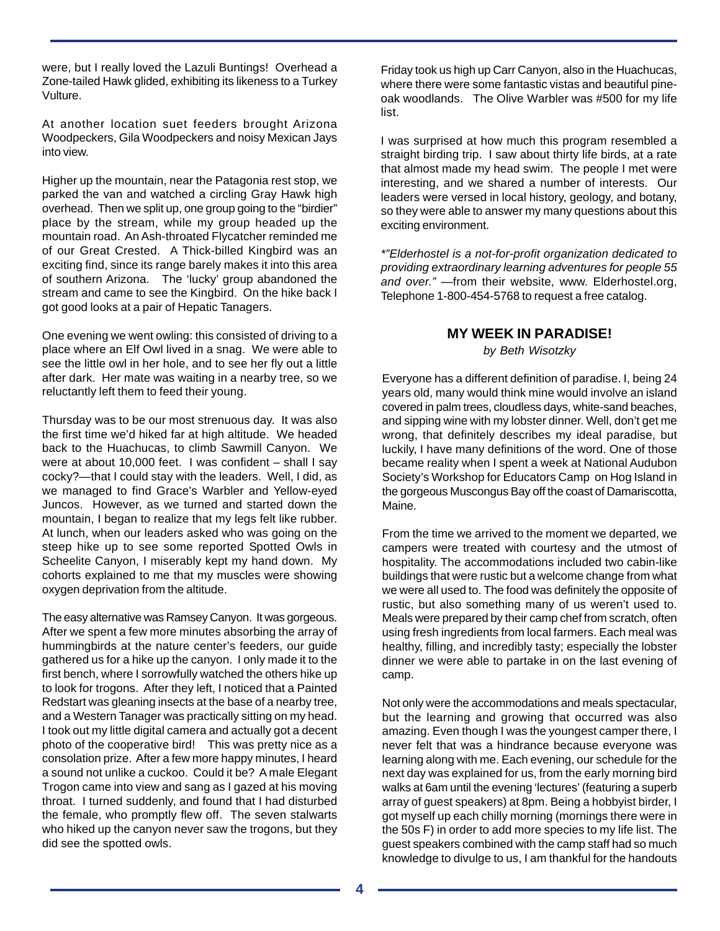were, but I really loved the Lazuli Buntings! Overhead a Zone-tailed Hawk glided, exhibiting its likeness to a Turkey Vulture.

At another location suet feeders brought Arizona Woodpeckers, Gila Woodpeckers and noisy Mexican Jays into view.

Higher up the mountain, near the Patagonia rest stop, we parked the van and watched a circling Gray Hawk high overhead. Then we split up, one group going to the "birdier" place by the stream, while my group headed up the mountain road. An Ash-throated Flycatcher reminded me of our Great Crested. A Thick-billed Kingbird was an exciting find, since its range barely makes it into this area of southern Arizona. The 'lucky' group abandoned the stream and came to see the Kingbird. On the hike back I got good looks at a pair of Hepatic Tanagers.

One evening we went owling: this consisted of driving to a place where an Elf Owl lived in a snag. We were able to see the little owl in her hole, and to see her fly out a little after dark. Her mate was waiting in a nearby tree, so we reluctantly left them to feed their young.

Thursday was to be our most strenuous day. It was also the first time we'd hiked far at high altitude. We headed back to the Huachucas, to climb Sawmill Canyon. We were at about 10,000 feet. I was confident – shall I say cocky?—that I could stay with the leaders. Well, I did, as we managed to find Grace's Warbler and Yellow-eyed Juncos. However, as we turned and started down the mountain, I began to realize that my legs felt like rubber. At lunch, when our leaders asked who was going on the steep hike up to see some reported Spotted Owls in Scheelite Canyon, I miserably kept my hand down. My cohorts explained to me that my muscles were showing oxygen deprivation from the altitude.

The easy alternative was Ramsey Canyon. It was gorgeous. After we spent a few more minutes absorbing the array of hummingbirds at the nature center's feeders, our guide gathered us for a hike up the canyon. I only made it to the first bench, where I sorrowfully watched the others hike up to look for trogons. After they left, I noticed that a Painted Redstart was gleaning insects at the base of a nearby tree, and a Western Tanager was practically sitting on my head. I took out my little digital camera and actually got a decent photo of the cooperative bird! This was pretty nice as a consolation prize. After a few more happy minutes, I heard a sound not unlike a cuckoo. Could it be? A male Elegant Trogon came into view and sang as I gazed at his moving throat. I turned suddenly, and found that I had disturbed the female, who promptly flew off. The seven stalwarts who hiked up the canyon never saw the trogons, but they did see the spotted owls.

Friday took us high up Carr Canyon, also in the Huachucas, where there were some fantastic vistas and beautiful pineoak woodlands. The Olive Warbler was #500 for my life list.

I was surprised at how much this program resembled a straight birding trip. I saw about thirty life birds, at a rate that almost made my head swim. The people I met were interesting, and we shared a number of interests. Our leaders were versed in local history, geology, and botany, so they were able to answer my many questions about this exciting environment.

*\*"Elderhostel is a not-for-profit organization dedicated to providing extraordinary learning adventures for people 55 and over."* —from their website, www. Elderhostel.org, Telephone 1-800-454-5768 to request a free catalog.

#### **MY WEEK IN PARADISE!**

*by Beth Wisotzky*

Everyone has a different definition of paradise. I, being 24 years old, many would think mine would involve an island covered in palm trees, cloudless days, white-sand beaches, and sipping wine with my lobster dinner. Well, don't get me wrong, that definitely describes my ideal paradise, but luckily, I have many definitions of the word. One of those became reality when I spent a week at National Audubon Society's Workshop for Educators Camp on Hog Island in the gorgeous Muscongus Bay off the coast of Damariscotta, Maine.

From the time we arrived to the moment we departed, we campers were treated with courtesy and the utmost of hospitality. The accommodations included two cabin-like buildings that were rustic but a welcome change from what we were all used to. The food was definitely the opposite of rustic, but also something many of us weren't used to. Meals were prepared by their camp chef from scratch, often using fresh ingredients from local farmers. Each meal was healthy, filling, and incredibly tasty; especially the lobster dinner we were able to partake in on the last evening of camp.

Not only were the accommodations and meals spectacular, but the learning and growing that occurred was also amazing. Even though I was the youngest camper there, I never felt that was a hindrance because everyone was learning along with me. Each evening, our schedule for the next day was explained for us, from the early morning bird walks at 6am until the evening 'lectures' (featuring a superb array of guest speakers) at 8pm. Being a hobbyist birder, I got myself up each chilly morning (mornings there were in the 50s F) in order to add more species to my life list. The guest speakers combined with the camp staff had so much knowledge to divulge to us, I am thankful for the handouts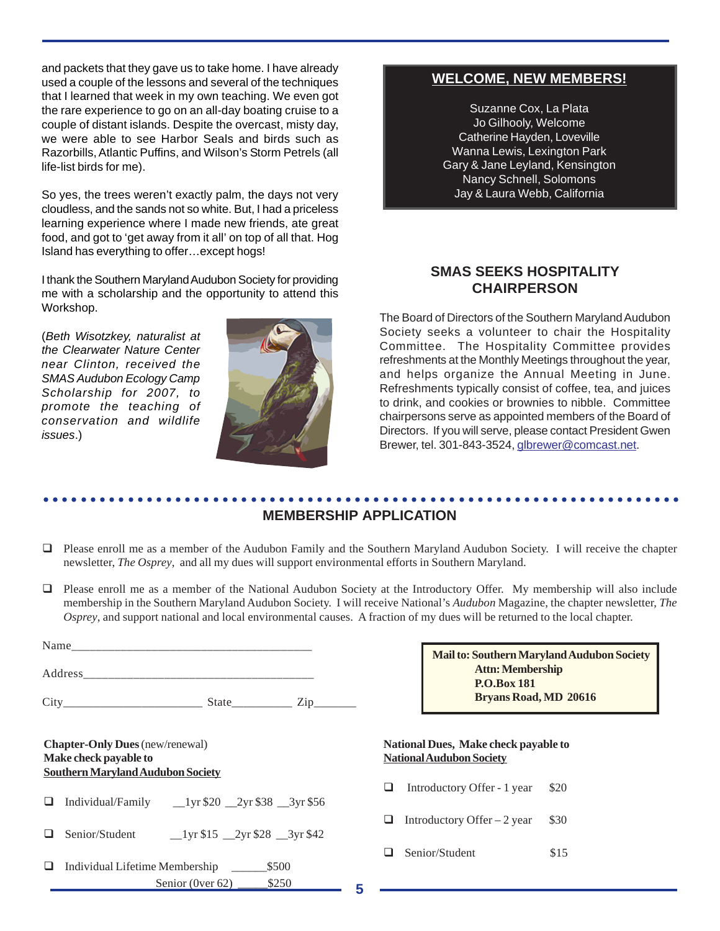and packets that they gave us to take home. I have already used a couple of the lessons and several of the techniques that I learned that week in my own teaching. We even got the rare experience to go on an all-day boating cruise to a couple of distant islands. Despite the overcast, misty day, we were able to see Harbor Seals and birds such as Razorbills, Atlantic Puffins, and Wilson's Storm Petrels (all life-list birds for me).

So yes, the trees weren't exactly palm, the days not very cloudless, and the sands not so white. But, I had a priceless learning experience where I made new friends, ate great food, and got to 'get away from it all' on top of all that. Hog Island has everything to offer…except hogs!

I thank the Southern Maryland Audubon Society for providing me with a scholarship and the opportunity to attend this Workshop.

(*Beth Wisotzkey, naturalist at the Clearwater Nature Center near Clinton, received the SMAS Audubon Ecology Camp Scholarship for 2007, to promote the teaching of conservation and wildlife issues*.)



#### **WELCOME, NEW MEMBERS!**

Suzanne Cox, La Plata Jo Gilhooly, Welcome Catherine Hayden, Loveville Wanna Lewis, Lexington Park Gary & Jane Leyland, Kensington Nancy Schnell, Solomons Jay & Laura Webb, California

#### **SMAS SEEKS HOSPITALITY CHAIRPERSON**

The Board of Directors of the Southern Maryland Audubon Society seeks a volunteer to chair the Hospitality Committee. The Hospitality Committee provides refreshments at the Monthly Meetings throughout the year, and helps organize the Annual Meeting in June. Refreshments typically consist of coffee, tea, and juices to drink, and cookies or brownies to nibble. Committee chairpersons serve as appointed members of the Board of Directors. If you will serve, please contact President Gwen Brewer, tel. 301-843-3524, glbrewer@comcast.net.

#### ○○○○○○○○○○○○○○○○○○○○○○○○○○○○○○○○○○○○○○○○○○○○ ○○○○○○○○○○○○○○○○○○○○○○○○ **MEMBERSHIP APPLICATION**

- Please enroll me as a member of the Audubon Family and the Southern Maryland Audubon Society. I will receive the chapter newsletter, *The Osprey*, and all my dues will support environmental efforts in Southern Maryland.
- Please enroll me as a member of the National Audubon Society at the Introductory Offer. My membership will also include membership in the Southern Maryland Audubon Society. I will receive National's *Audubon* Magazine, the chapter newsletter, *The Osprey*, and support national and local environmental causes. A fraction of my dues will be returned to the local chapter.

|                                                                                                             | Mail to: Southern Maryland Audubon Society<br><b>Attn: Membership</b>   |
|-------------------------------------------------------------------------------------------------------------|-------------------------------------------------------------------------|
|                                                                                                             | <b>P.O.Box 181</b><br><b>Bryans Road, MD 20616</b>                      |
| <b>Chapter-Only Dues</b> (new/renewal)<br>Make check payable to<br><b>Southern Maryland Audubon Society</b> | National Dues, Make check payable to<br><b>National Audubon Society</b> |
| ப                                                                                                           | Introductory Offer - 1 year<br>\$20<br>ப                                |
| Senior/Student 1yr \$15 2yr \$28 3yr \$42                                                                   | Introductory Offer $-2$ year<br>\$30<br>ப                               |
| \$500<br>Individual Lifetime Membership<br>⊔<br>\$250<br>Senior (0ver $62$ )<br>5                           | Senior/Student<br>\$15                                                  |